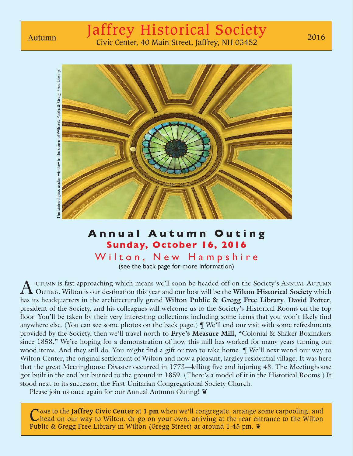

## **Annual Autumn Outing Sunday, October 16, 2016**

Wilton, New Hampshire (see the back page for more information)

A UTUMN is fast approaching which means we'll soon be headed off on the Society's ANNUAL AUTUMN<br>OUTING. Wilton is our destination this year and our host will be the **Wilton Historical Society** which has its headquarters in the architecturally grand **Wilton Public & Gregg Free Library**. **David Potter**, president of the Society, and his colleagues will welcome us to the Society's Historical Rooms on the top floor. You'll be taken by their very interesting collections including some items that you won't likely find anywhere else. (You can see some photos on the back page.) ¶ We'll end our visit with some refreshments provided by the Society, then we'll travel north to **Frye's Measure Mill**, "Colonial & Shaker Boxmakers since 1858." We're hoping for a demonstration of how this mill has worked for many years turning out wood items. And they still do. You might find a gift or two to take home. ¶ We'll next wend our way to Wilton Center, the original settlement of Wilton and now a pleasant, largley residential village. It was here that the great Meetinghouse Disaster occurred in 1773—killing five and injuring 48. The Meetinghouse got built in the end but burned to the ground in 1859. (There's a model of it in the Historical Rooms.) It stood next to its successor, the First Unitarian Congregational Society Church.

Please join us once again for our Annual Autumn Outing!  $\ddot{\mathbf{v}}$ 

Come to the **Jaffrey Civic Center** at 1 pm when we'll congregate, arrange some carpooling, and head on our way to Wilton. Or go on your own, arriving at the rear entrance to the Wilton Public & Gregg Free Library in Wilton (Gregg Street) at around 1:45 pm.  $\mathbf{\mathscr{C}}$